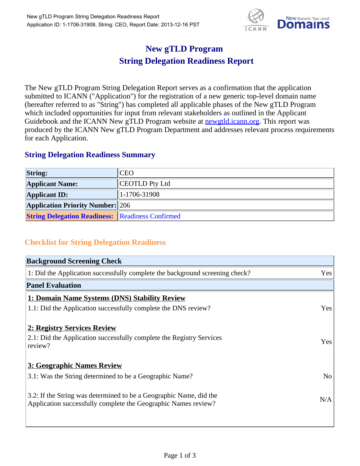

## **New gTLD Program String Delegation Readiness Report**

The New gTLD Program String Delegation Report serves as a confirmation that the application submitted to ICANN ("Application") for the registration of a new generic top-level domain name (hereafter referred to as "String") has completed all applicable phases of the New gTLD Program which included opportunities for input from relevant stakeholders as outlined in the Applicant Guidebook and the ICANN New gTLD Program website at **newgtld.jcann.org**. This report was produced by the ICANN New gTLD Program Department and addresses relevant process requirements for each Application.

## **String Delegation Readiness Summary**

| <b>String:</b>                                          | "CEO             |
|---------------------------------------------------------|------------------|
| <b>Applicant Name:</b>                                  | CEOTLD Pty Ltd   |
| <b>Applicant ID:</b>                                    | $ 1-1706-31908 $ |
| <b>Application Priority Number:</b> 206                 |                  |
| <b>String Delegation Readiness: Readiness Confirmed</b> |                  |

## **Checklist for String Delegation Readiness**

| <b>Background Screening Check</b>                                                                                                    |                |
|--------------------------------------------------------------------------------------------------------------------------------------|----------------|
| 1: Did the Application successfully complete the background screening check?                                                         | Yes            |
| <b>Panel Evaluation</b>                                                                                                              |                |
| 1: Domain Name Systems (DNS) Stability Review                                                                                        |                |
| 1.1: Did the Application successfully complete the DNS review?                                                                       | Yes            |
| 2: Registry Services Review                                                                                                          |                |
| 2.1: Did the Application successfully complete the Registry Services<br>review?                                                      | Yes            |
| 3: Geographic Names Review                                                                                                           |                |
| 3.1: Was the String determined to be a Geographic Name?                                                                              | N <sub>o</sub> |
| 3.2: If the String was determined to be a Geographic Name, did the<br>Application successfully complete the Geographic Names review? | N/A            |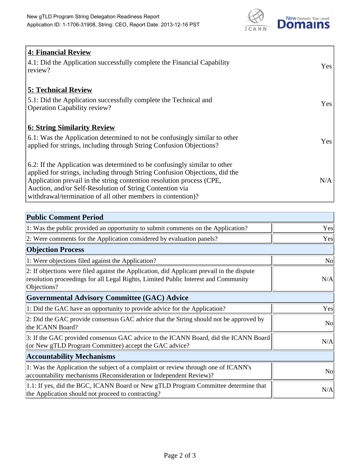

| 4: Financial Review                                                                |            |
|------------------------------------------------------------------------------------|------------|
| $\vert$ 4.1: Did the Application successfully complete the Financial Capability    | Yes        |
| review?                                                                            |            |
| <b>5: Technical Review</b>                                                         |            |
| 5.1: Did the Application successfully complete the Technical and                   | <b>Yes</b> |
| <b>Operation Capability review?</b>                                                |            |
|                                                                                    |            |
| <b>6: String Similarity Review</b>                                                 |            |
| $\vert$ 6.1: Was the Application determined to not be confusingly similar to other | Yes        |
| applied for strings, including through String Confusion Objections?                |            |
| 6.2: If the Application was determined to be confusingly similar to other          |            |
| applied for strings, including through String Confusion Objections, did the        |            |
| Application prevail in the string contention resolution process (CPE,              | N/A        |
| Auction, and/or Self-Resolution of String Contention via                           |            |
| withdrawal/termination of all other members in contention)?                        |            |

| <b>Public Comment Period</b>                                                                                                                                                                   |     |
|------------------------------------------------------------------------------------------------------------------------------------------------------------------------------------------------|-----|
| 1: Was the public provided an opportunity to submit comments on the Application?                                                                                                               | Yes |
| 2: Were comments for the Application considered by evaluation panels?                                                                                                                          | Yes |
| <b>Objection Process</b>                                                                                                                                                                       |     |
| 1: Were objections filed against the Application?                                                                                                                                              | No  |
| 2: If objections were filed against the Application, did Applicant prevail in the dispute<br>resolution proceedings for all Legal Rights, Limited Public Interest and Community<br>Objections? | N/A |
| <b>Governmental Advisory Committee (GAC) Advice</b>                                                                                                                                            |     |
| 1: Did the GAC have an opportunity to provide advice for the Application?                                                                                                                      | Yes |
| 2: Did the GAC provide consensus GAC advice that the String should not be approved by<br>the ICANN Board?                                                                                      | No  |
| 3: If the GAC provided consensus GAC advice to the ICANN Board, did the ICANN Board<br>(or New gTLD Program Committee) accept the GAC advice?                                                  | N/A |
| <b>Accountability Mechanisms</b>                                                                                                                                                               |     |
| 1: Was the Application the subject of a complaint or review through one of ICANN's<br>accountability mechanisms (Reconsideration or Independent Review)?                                       | No  |
| 1.1: If yes, did the BGC, ICANN Board or New gTLD Program Committee determine that<br>the Application should not proceed to contracting?                                                       | N/A |